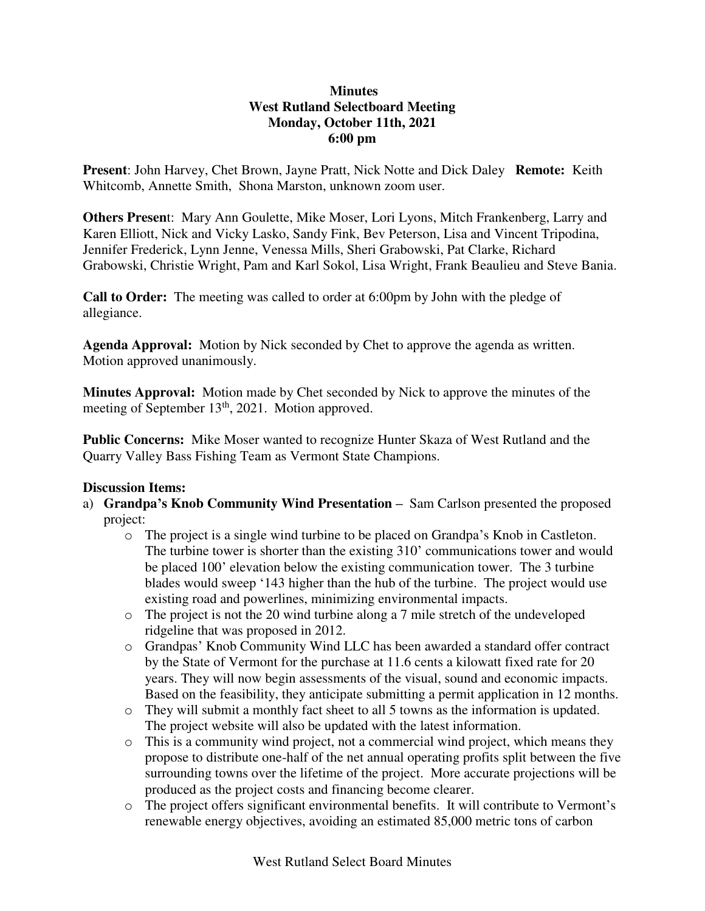## **Minutes West Rutland Selectboard Meeting Monday, October 11th, 2021 6:00 pm**

**Present**: John Harvey, Chet Brown, Jayne Pratt, Nick Notte and Dick Daley **Remote:** Keith Whitcomb, Annette Smith, Shona Marston, unknown zoom user.

**Others Presen**t: Mary Ann Goulette, Mike Moser, Lori Lyons, Mitch Frankenberg, Larry and Karen Elliott, Nick and Vicky Lasko, Sandy Fink, Bev Peterson, Lisa and Vincent Tripodina, Jennifer Frederick, Lynn Jenne, Venessa Mills, Sheri Grabowski, Pat Clarke, Richard Grabowski, Christie Wright, Pam and Karl Sokol, Lisa Wright, Frank Beaulieu and Steve Bania.

**Call to Order:** The meeting was called to order at 6:00pm by John with the pledge of allegiance.

**Agenda Approval:** Motion by Nick seconded by Chet to approve the agenda as written. Motion approved unanimously.

**Minutes Approval:** Motion made by Chet seconded by Nick to approve the minutes of the meeting of September 13<sup>th</sup>, 2021. Motion approved.

**Public Concerns:** Mike Moser wanted to recognize Hunter Skaza of West Rutland and the Quarry Valley Bass Fishing Team as Vermont State Champions.

## **Discussion Items:**

- a) **Grandpa's Knob Community Wind Presentation –** Sam Carlson presented the proposed project:
	- o The project is a single wind turbine to be placed on Grandpa's Knob in Castleton. The turbine tower is shorter than the existing 310' communications tower and would be placed 100' elevation below the existing communication tower. The 3 turbine blades would sweep '143 higher than the hub of the turbine. The project would use existing road and powerlines, minimizing environmental impacts.
	- o The project is not the 20 wind turbine along a 7 mile stretch of the undeveloped ridgeline that was proposed in 2012.
	- o Grandpas' Knob Community Wind LLC has been awarded a standard offer contract by the State of Vermont for the purchase at 11.6 cents a kilowatt fixed rate for 20 years. They will now begin assessments of the visual, sound and economic impacts. Based on the feasibility, they anticipate submitting a permit application in 12 months.
	- o They will submit a monthly fact sheet to all 5 towns as the information is updated. The project website will also be updated with the latest information.
	- o This is a community wind project, not a commercial wind project, which means they propose to distribute one-half of the net annual operating profits split between the five surrounding towns over the lifetime of the project. More accurate projections will be produced as the project costs and financing become clearer.
	- o The project offers significant environmental benefits. It will contribute to Vermont's renewable energy objectives, avoiding an estimated 85,000 metric tons of carbon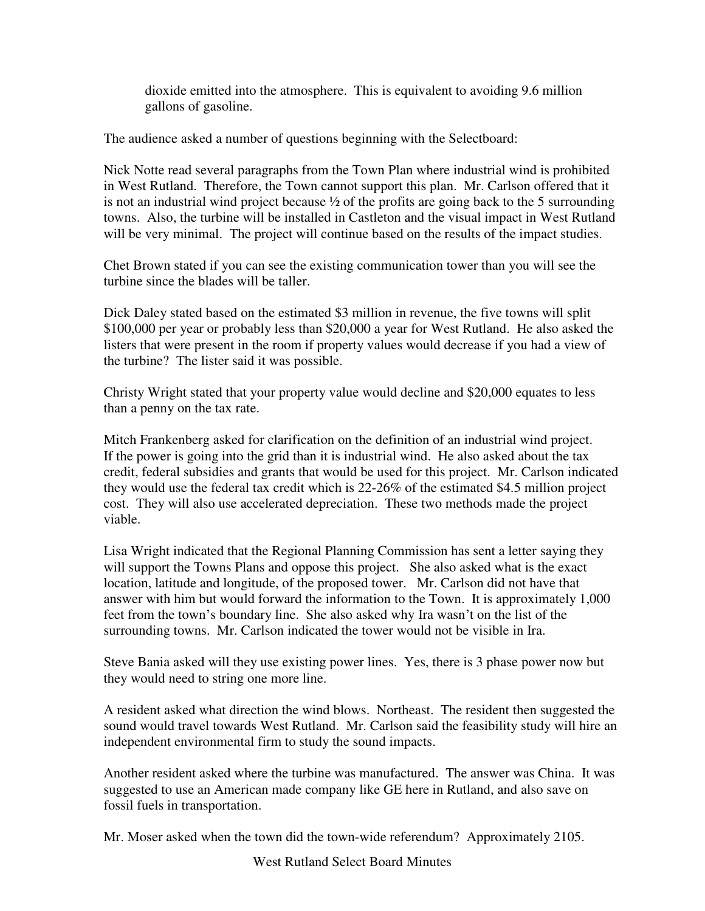dioxide emitted into the atmosphere. This is equivalent to avoiding 9.6 million gallons of gasoline.

The audience asked a number of questions beginning with the Selectboard:

Nick Notte read several paragraphs from the Town Plan where industrial wind is prohibited in West Rutland. Therefore, the Town cannot support this plan. Mr. Carlson offered that it is not an industrial wind project because  $\frac{1}{2}$  of the profits are going back to the 5 surrounding towns. Also, the turbine will be installed in Castleton and the visual impact in West Rutland will be very minimal. The project will continue based on the results of the impact studies.

Chet Brown stated if you can see the existing communication tower than you will see the turbine since the blades will be taller.

Dick Daley stated based on the estimated \$3 million in revenue, the five towns will split \$100,000 per year or probably less than \$20,000 a year for West Rutland. He also asked the listers that were present in the room if property values would decrease if you had a view of the turbine? The lister said it was possible.

Christy Wright stated that your property value would decline and \$20,000 equates to less than a penny on the tax rate.

Mitch Frankenberg asked for clarification on the definition of an industrial wind project. If the power is going into the grid than it is industrial wind. He also asked about the tax credit, federal subsidies and grants that would be used for this project. Mr. Carlson indicated they would use the federal tax credit which is 22-26% of the estimated \$4.5 million project cost. They will also use accelerated depreciation. These two methods made the project viable.

Lisa Wright indicated that the Regional Planning Commission has sent a letter saying they will support the Towns Plans and oppose this project. She also asked what is the exact location, latitude and longitude, of the proposed tower. Mr. Carlson did not have that answer with him but would forward the information to the Town. It is approximately 1,000 feet from the town's boundary line. She also asked why Ira wasn't on the list of the surrounding towns. Mr. Carlson indicated the tower would not be visible in Ira.

Steve Bania asked will they use existing power lines. Yes, there is 3 phase power now but they would need to string one more line.

A resident asked what direction the wind blows. Northeast. The resident then suggested the sound would travel towards West Rutland. Mr. Carlson said the feasibility study will hire an independent environmental firm to study the sound impacts.

Another resident asked where the turbine was manufactured. The answer was China. It was suggested to use an American made company like GE here in Rutland, and also save on fossil fuels in transportation.

Mr. Moser asked when the town did the town-wide referendum? Approximately 2105.

West Rutland Select Board Minutes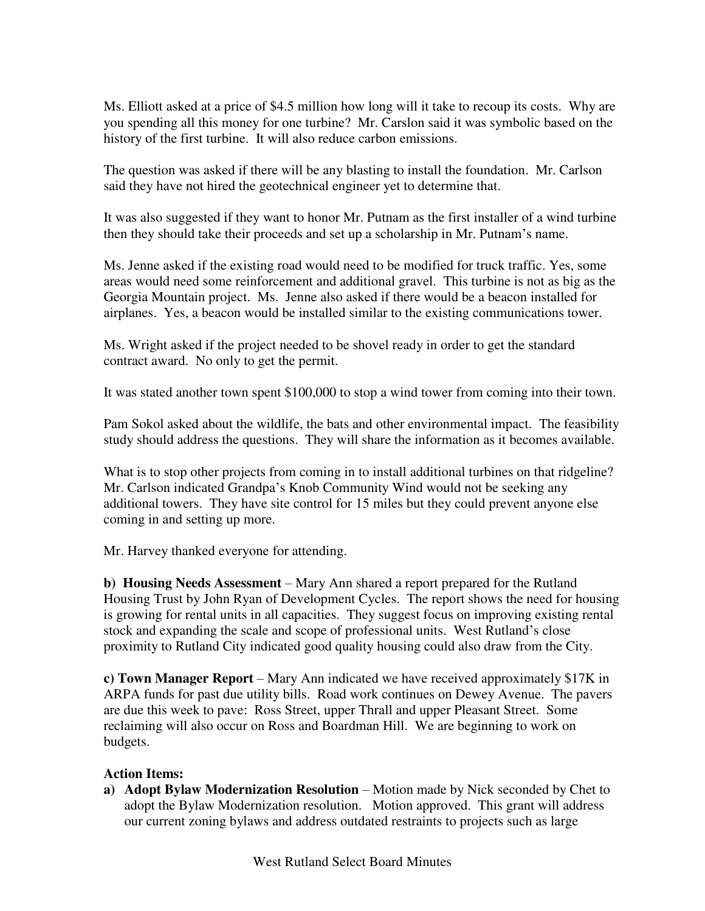Ms. Elliott asked at a price of \$4.5 million how long will it take to recoup its costs. Why are you spending all this money for one turbine? Mr. Carslon said it was symbolic based on the history of the first turbine. It will also reduce carbon emissions.

The question was asked if there will be any blasting to install the foundation. Mr. Carlson said they have not hired the geotechnical engineer yet to determine that.

It was also suggested if they want to honor Mr. Putnam as the first installer of a wind turbine then they should take their proceeds and set up a scholarship in Mr. Putnam's name.

Ms. Jenne asked if the existing road would need to be modified for truck traffic. Yes, some areas would need some reinforcement and additional gravel. This turbine is not as big as the Georgia Mountain project. Ms. Jenne also asked if there would be a beacon installed for airplanes. Yes, a beacon would be installed similar to the existing communications tower.

Ms. Wright asked if the project needed to be shovel ready in order to get the standard contract award. No only to get the permit.

It was stated another town spent \$100,000 to stop a wind tower from coming into their town.

Pam Sokol asked about the wildlife, the bats and other environmental impact. The feasibility study should address the questions. They will share the information as it becomes available.

What is to stop other projects from coming in to install additional turbines on that ridgeline? Mr. Carlson indicated Grandpa's Knob Community Wind would not be seeking any additional towers. They have site control for 15 miles but they could prevent anyone else coming in and setting up more.

Mr. Harvey thanked everyone for attending.

**b) Housing Needs Assessment** – Mary Ann shared a report prepared for the Rutland Housing Trust by John Ryan of Development Cycles. The report shows the need for housing is growing for rental units in all capacities. They suggest focus on improving existing rental stock and expanding the scale and scope of professional units. West Rutland's close proximity to Rutland City indicated good quality housing could also draw from the City.

**c) Town Manager Report** – Mary Ann indicated we have received approximately \$17K in ARPA funds for past due utility bills. Road work continues on Dewey Avenue. The pavers are due this week to pave: Ross Street, upper Thrall and upper Pleasant Street. Some reclaiming will also occur on Ross and Boardman Hill. We are beginning to work on budgets.

## **Action Items:**

**a) Adopt Bylaw Modernization Resolution** – Motion made by Nick seconded by Chet to adopt the Bylaw Modernization resolution. Motion approved. This grant will address our current zoning bylaws and address outdated restraints to projects such as large